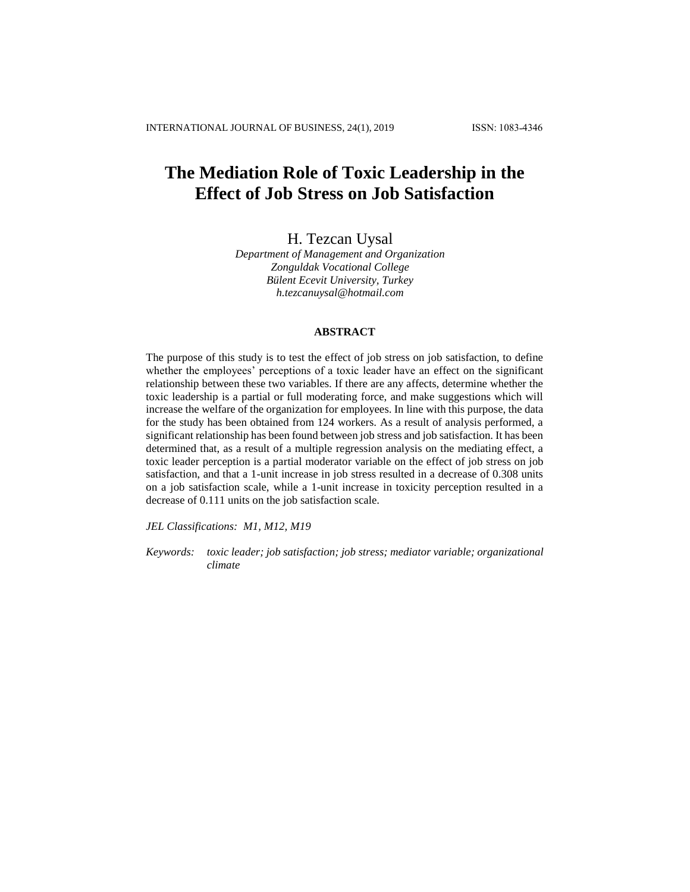# **The Mediation Role of Toxic Leadership in the Effect of Job Stress on Job Satisfaction**

H. Tezcan Uysal

*Department of Management and Organization Zonguldak Vocational College Bülent Ecevit University, Turkey h.tezcanuysal@hotmail.com*

### **ABSTRACT**

The purpose of this study is to test the effect of job stress on job satisfaction, to define whether the employees' perceptions of a toxic leader have an effect on the significant relationship between these two variables. If there are any affects, determine whether the toxic leadership is a partial or full moderating force, and make suggestions which will increase the welfare of the organization for employees. In line with this purpose, the data for the study has been obtained from 124 workers. As a result of analysis performed, a significant relationship has been found between job stress and job satisfaction. It has been determined that, as a result of a multiple regression analysis on the mediating effect, a toxic leader perception is a partial moderator variable on the effect of job stress on job satisfaction, and that a 1-unit increase in job stress resulted in a decrease of 0.308 units on a job satisfaction scale, while a 1-unit increase in toxicity perception resulted in a decrease of 0.111 units on the job satisfaction scale.

*JEL Classifications: M1, M12, M19*

*Keywords: toxic leader; job satisfaction; job stress; mediator variable; organizational climate*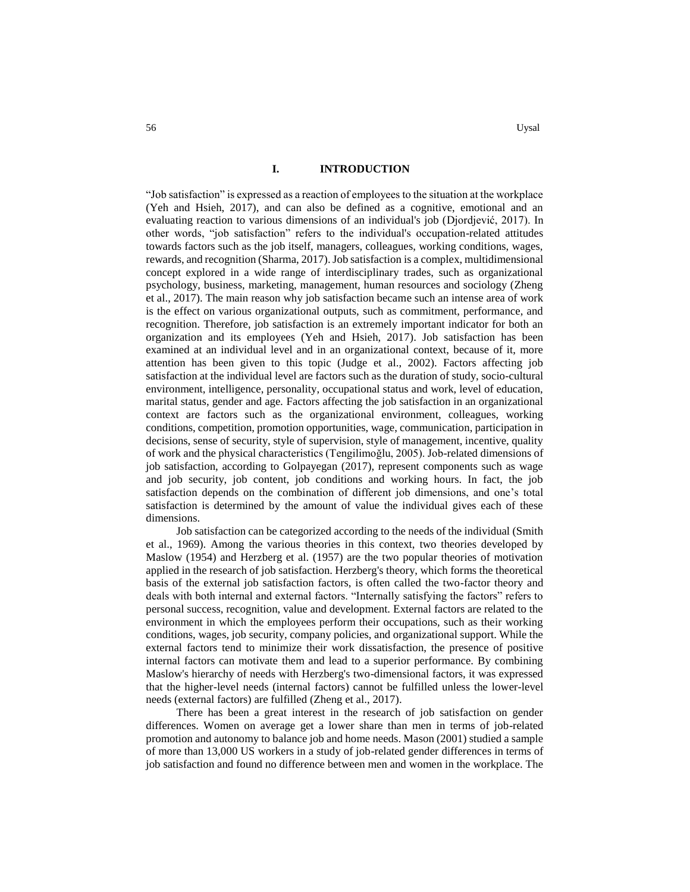## **I. INTRODUCTION**

"Job satisfaction" is expressed as a reaction of employees to the situation at the workplace (Yeh and Hsieh, 2017), and can also be defined as a cognitive, emotional and an evaluating reaction to various dimensions of an individual's job (Djordjević, 2017). In other words, "job satisfaction" refers to the individual's occupation-related attitudes towards factors such as the job itself, managers, colleagues, working conditions, wages, rewards, and recognition (Sharma, 2017). Job satisfaction is a complex, multidimensional concept explored in a wide range of interdisciplinary trades, such as organizational psychology, business, marketing, management, human resources and sociology (Zheng et al., 2017). The main reason why job satisfaction became such an intense area of work is the effect on various organizational outputs, such as commitment, performance, and recognition. Therefore, job satisfaction is an extremely important indicator for both an organization and its employees (Yeh and Hsieh, 2017). Job satisfaction has been examined at an individual level and in an organizational context, because of it, more attention has been given to this topic (Judge et al., 2002). Factors affecting job satisfaction at the individual level are factors such as the duration of study, socio-cultural environment, intelligence, personality, occupational status and work, level of education, marital status, gender and age*.* Factors affecting the job satisfaction in an organizational context are factors such as the organizational environment, colleagues, working conditions, competition, promotion opportunities, wage, communication, participation in decisions, sense of security, style of supervision, style of management, incentive, quality of work and the physical characteristics (Tengilimoğlu, 2005). Job-related dimensions of job satisfaction, according to Golpayegan (2017), represent components such as wage and job security, job content, job conditions and working hours. In fact, the job satisfaction depends on the combination of different job dimensions, and one's total satisfaction is determined by the amount of value the individual gives each of these dimensions.

Job satisfaction can be categorized according to the needs of the individual (Smith et al., 1969). Among the various theories in this context, two theories developed by Maslow (1954) and Herzberg et al. (1957) are the two popular theories of motivation applied in the research of job satisfaction. Herzberg's theory, which forms the theoretical basis of the external job satisfaction factors, is often called the two-factor theory and deals with both internal and external factors. "Internally satisfying the factors" refers to personal success, recognition, value and development. External factors are related to the environment in which the employees perform their occupations, such as their working conditions, wages, job security, company policies, and organizational support. While the external factors tend to minimize their work dissatisfaction, the presence of positive internal factors can motivate them and lead to a superior performance. By combining Maslow's hierarchy of needs with Herzberg's two-dimensional factors, it was expressed that the higher-level needs (internal factors) cannot be fulfilled unless the lower-level needs (external factors) are fulfilled (Zheng et al., 2017).

There has been a great interest in the research of job satisfaction on gender differences. Women on average get a lower share than men in terms of job-related promotion and autonomy to balance job and home needs. Mason (2001) studied a sample of more than 13,000 US workers in a study of job-related gender differences in terms of job satisfaction and found no difference between men and women in the workplace. The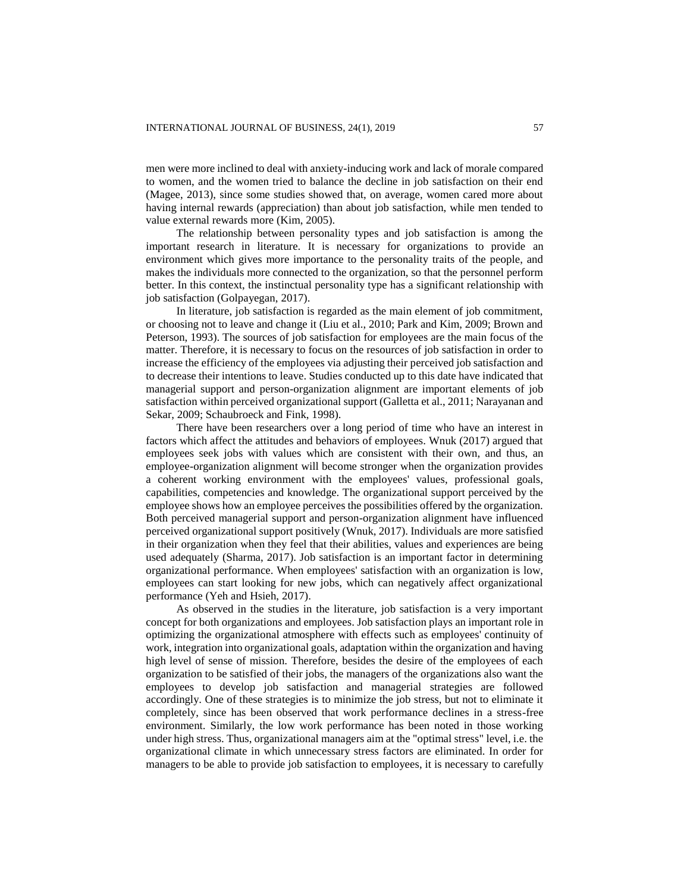men were more inclined to deal with anxiety-inducing work and lack of morale compared to women, and the women tried to balance the decline in job satisfaction on their end (Magee, 2013), since some studies showed that, on average, women cared more about having internal rewards (appreciation) than about job satisfaction, while men tended to value external rewards more (Kim, 2005).

The relationship between personality types and job satisfaction is among the important research in literature. It is necessary for organizations to provide an environment which gives more importance to the personality traits of the people, and makes the individuals more connected to the organization, so that the personnel perform better. In this context, the instinctual personality type has a significant relationship with job satisfaction (Golpayegan, 2017).

In literature, job satisfaction is regarded as the main element of job commitment, or choosing not to leave and change it (Liu et al., 2010; Park and Kim, 2009; Brown and Peterson, 1993). The sources of job satisfaction for employees are the main focus of the matter. Therefore, it is necessary to focus on the resources of job satisfaction in order to increase the efficiency of the employees via adjusting their perceived job satisfaction and to decrease their intentions to leave. Studies conducted up to this date have indicated that managerial support and person-organization alignment are important elements of job satisfaction within perceived organizational support (Galletta et al., 2011; Narayanan and Sekar, 2009; Schaubroeck and Fink, 1998).

There have been researchers over a long period of time who have an interest in factors which affect the attitudes and behaviors of employees. Wnuk (2017) argued that employees seek jobs with values which are consistent with their own, and thus, an employee-organization alignment will become stronger when the organization provides a coherent working environment with the employees' values, professional goals, capabilities, competencies and knowledge. The organizational support perceived by the employee shows how an employee perceives the possibilities offered by the organization. Both perceived managerial support and person-organization alignment have influenced perceived organizational support positively (Wnuk, 2017). Individuals are more satisfied in their organization when they feel that their abilities, values and experiences are being used adequately (Sharma, 2017). Job satisfaction is an important factor in determining organizational performance. When employees' satisfaction with an organization is low, employees can start looking for new jobs, which can negatively affect organizational performance (Yeh and Hsieh, 2017).

As observed in the studies in the literature, job satisfaction is a very important concept for both organizations and employees. Job satisfaction plays an important role in optimizing the organizational atmosphere with effects such as employees' continuity of work, integration into organizational goals, adaptation within the organization and having high level of sense of mission. Therefore, besides the desire of the employees of each organization to be satisfied of their jobs, the managers of the organizations also want the employees to develop job satisfaction and managerial strategies are followed accordingly. One of these strategies is to minimize the job stress, but not to eliminate it completely, since has been observed that work performance declines in a stress-free environment. Similarly, the low work performance has been noted in those working under high stress. Thus, organizational managers aim at the "optimal stress" level, i.e. the organizational climate in which unnecessary stress factors are eliminated. In order for managers to be able to provide job satisfaction to employees, it is necessary to carefully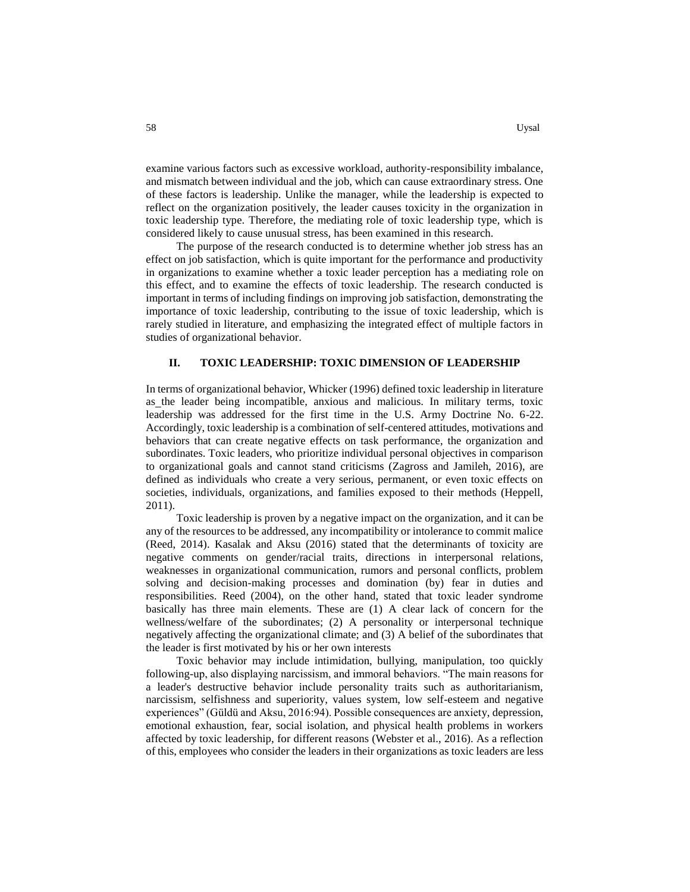examine various factors such as excessive workload, authority-responsibility imbalance, and mismatch between individual and the job, which can cause extraordinary stress. One of these factors is leadership. Unlike the manager, while the leadership is expected to reflect on the organization positively, the leader causes toxicity in the organization in toxic leadership type. Therefore, the mediating role of toxic leadership type, which is considered likely to cause unusual stress, has been examined in this research.

The purpose of the research conducted is to determine whether job stress has an effect on job satisfaction, which is quite important for the performance and productivity in organizations to examine whether a toxic leader perception has a mediating role on this effect, and to examine the effects of toxic leadership. The research conducted is important in terms of including findings on improving job satisfaction, demonstrating the importance of toxic leadership, contributing to the issue of toxic leadership, which is rarely studied in literature, and emphasizing the integrated effect of multiple factors in studies of organizational behavior.

#### **II. TOXIC LEADERSHIP: TOXIC DIMENSION OF LEADERSHIP**

In terms of organizational behavior, Whicker (1996) defined toxic leadership in literature as the leader being incompatible, anxious and malicious. In military terms, toxic leadership was addressed for the first time in the U.S. Army Doctrine No. 6-22. Accordingly, toxic leadership is a combination of self-centered attitudes, motivations and behaviors that can create negative effects on task performance, the organization and subordinates. Toxic leaders, who prioritize individual personal objectives in comparison to organizational goals and cannot stand criticisms (Zagross and Jamileh, 2016), are defined as individuals who create a very serious, permanent, or even toxic effects on societies, individuals, organizations, and families exposed to their methods (Heppell, 2011).

Toxic leadership is proven by a negative impact on the organization, and it can be any of the resources to be addressed, any incompatibility or intolerance to commit malice (Reed, 2014). Kasalak and Aksu (2016) stated that the determinants of toxicity are negative comments on gender/racial traits, directions in interpersonal relations, weaknesses in organizational communication, rumors and personal conflicts, problem solving and decision-making processes and domination (by) fear in duties and responsibilities. Reed (2004), on the other hand, stated that toxic leader syndrome basically has three main elements. These are (1) A clear lack of concern for the wellness/welfare of the subordinates; (2) A personality or interpersonal technique negatively affecting the organizational climate; and (3) A belief of the subordinates that the leader is first motivated by his or her own interests

Toxic behavior may include intimidation, bullying, manipulation, too quickly following-up, also displaying narcissism, and immoral behaviors. "The main reasons for a leader's destructive behavior include personality traits such as authoritarianism, narcissism, selfishness and superiority, values system, low self-esteem and negative experiences" (Güldü and Aksu, 2016:94). Possible consequences are anxiety, depression, emotional exhaustion, fear, social isolation, and physical health problems in workers affected by toxic leadership, for different reasons (Webster et al., 2016). As a reflection of this, employees who consider the leaders in their organizations as toxic leaders are less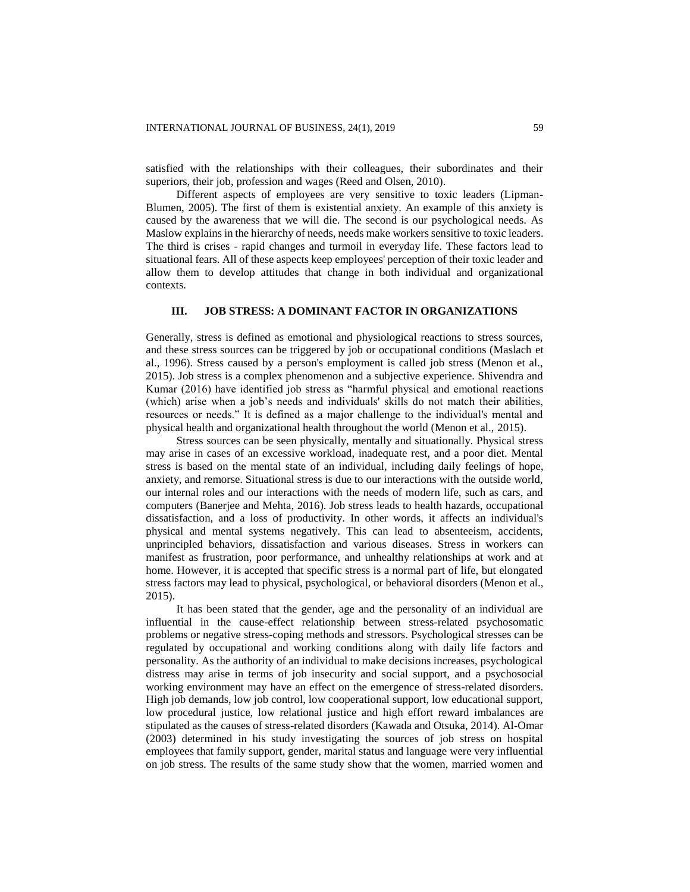satisfied with the relationships with their colleagues, their subordinates and their superiors, their job, profession and wages (Reed and Olsen, 2010).

Different aspects of employees are very sensitive to toxic leaders (Lipman-Blumen, 2005). The first of them is existential anxiety. An example of this anxiety is caused by the awareness that we will die. The second is our psychological needs. As Maslow explains in the hierarchy of needs, needs make workers sensitive to toxic leaders. The third is crises - rapid changes and turmoil in everyday life. These factors lead to situational fears. All of these aspects keep employees' perception of their toxic leader and allow them to develop attitudes that change in both individual and organizational contexts.

### **III. JOB STRESS: A DOMINANT FACTOR IN ORGANIZATIONS**

Generally, stress is defined as emotional and physiological reactions to stress sources, and these stress sources can be triggered by job or occupational conditions (Maslach et al., 1996). Stress caused by a person's employment is called job stress (Menon et al., 2015). Job stress is a complex phenomenon and a subjective experience. Shivendra and Kumar (2016) have identified job stress as "harmful physical and emotional reactions (which) arise when a job's needs and individuals' skills do not match their abilities, resources or needs." It is defined as a major challenge to the individual's mental and physical health and organizational health throughout the world (Menon et al., 2015).

Stress sources can be seen physically, mentally and situationally. Physical stress may arise in cases of an excessive workload, inadequate rest, and a poor diet. Mental stress is based on the mental state of an individual, including daily feelings of hope, anxiety, and remorse. Situational stress is due to our interactions with the outside world, our internal roles and our interactions with the needs of modern life, such as cars, and computers (Banerjee and Mehta, 2016). Job stress leads to health hazards, occupational dissatisfaction, and a loss of productivity. In other words, it affects an individual's physical and mental systems negatively. This can lead to absenteeism, accidents, unprincipled behaviors, dissatisfaction and various diseases. Stress in workers can manifest as frustration, poor performance, and unhealthy relationships at work and at home. However, it is accepted that specific stress is a normal part of life, but elongated stress factors may lead to physical, psychological, or behavioral disorders (Menon et al., 2015).

It has been stated that the gender, age and the personality of an individual are influential in the cause-effect relationship between stress-related psychosomatic problems or negative stress-coping methods and stressors. Psychological stresses can be regulated by occupational and working conditions along with daily life factors and personality. As the authority of an individual to make decisions increases, psychological distress may arise in terms of job insecurity and social support, and a psychosocial working environment may have an effect on the emergence of stress-related disorders. High job demands, low job control, low cooperational support, low educational support, low procedural justice, low relational justice and high effort reward imbalances are stipulated as the causes of stress-related disorders (Kawada and Otsuka, 2014). Al-Omar (2003) determined in his study investigating the sources of job stress on hospital employees that family support, gender, marital status and language were very influential on job stress. The results of the same study show that the women, married women and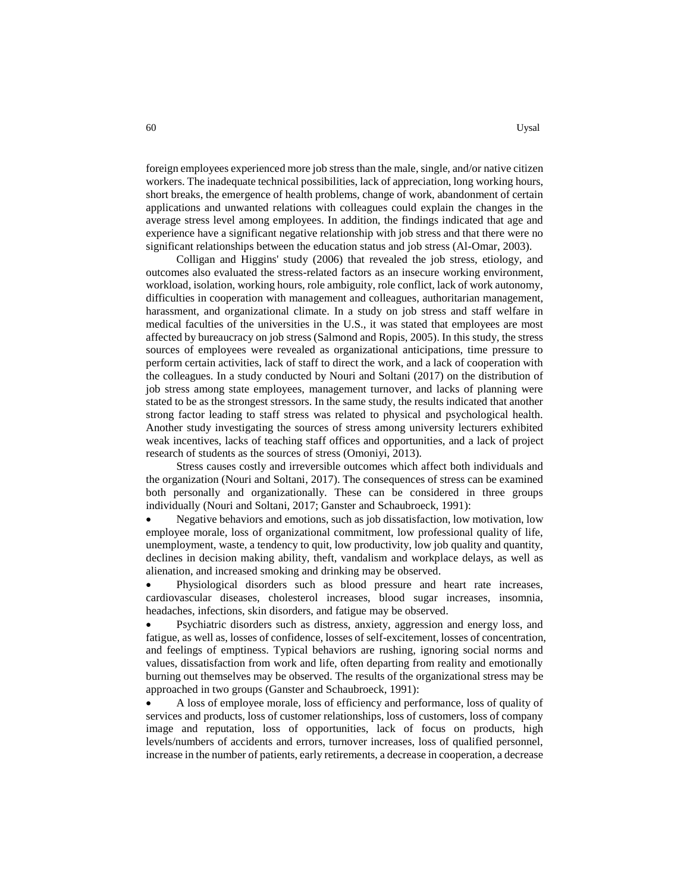foreign employees experienced more job stress than the male, single, and/or native citizen workers. The inadequate technical possibilities, lack of appreciation, long working hours, short breaks, the emergence of health problems, change of work, abandonment of certain applications and unwanted relations with colleagues could explain the changes in the average stress level among employees. In addition, the findings indicated that age and experience have a significant negative relationship with job stress and that there were no significant relationships between the education status and job stress (Al-Omar, 2003).

Colligan and Higgins' study (2006) that revealed the job stress, etiology, and outcomes also evaluated the stress-related factors as an insecure working environment, workload, isolation, working hours, role ambiguity, role conflict, lack of work autonomy, difficulties in cooperation with management and colleagues, authoritarian management, harassment, and organizational climate. In a study on job stress and staff welfare in medical faculties of the universities in the U.S., it was stated that employees are most affected by bureaucracy on job stress (Salmond and Ropis, 2005). In this study, the stress sources of employees were revealed as organizational anticipations, time pressure to perform certain activities, lack of staff to direct the work, and a lack of cooperation with the colleagues. In a study conducted by Nouri and Soltani (2017) on the distribution of job stress among state employees, management turnover, and lacks of planning were stated to be as the strongest stressors. In the same study, the results indicated that another strong factor leading to staff stress was related to physical and psychological health. Another study investigating the sources of stress among university lecturers exhibited weak incentives, lacks of teaching staff offices and opportunities, and a lack of project research of students as the sources of stress (Omoniyi, 2013).

Stress causes costly and irreversible outcomes which affect both individuals and the organization (Nouri and Soltani, 2017). The consequences of stress can be examined both personally and organizationally. These can be considered in three groups individually (Nouri and Soltani, 2017; Ganster and Schaubroeck, 1991):

 Negative behaviors and emotions, such as job dissatisfaction, low motivation, low employee morale, loss of organizational commitment, low professional quality of life, unemployment, waste, a tendency to quit, low productivity, low job quality and quantity, declines in decision making ability, theft, vandalism and workplace delays, as well as alienation, and increased smoking and drinking may be observed.

 Physiological disorders such as blood pressure and heart rate increases, cardiovascular diseases, cholesterol increases, blood sugar increases, insomnia, headaches, infections, skin disorders, and fatigue may be observed.

 Psychiatric disorders such as distress, anxiety, aggression and energy loss, and fatigue, as well as, losses of confidence, losses of self-excitement, losses of concentration, and feelings of emptiness. Typical behaviors are rushing, ignoring social norms and values, dissatisfaction from work and life, often departing from reality and emotionally burning out themselves may be observed. The results of the organizational stress may be approached in two groups (Ganster and Schaubroeck, 1991):

 A loss of employee morale, loss of efficiency and performance, loss of quality of services and products, loss of customer relationships, loss of customers, loss of company image and reputation, loss of opportunities, lack of focus on products, high levels/numbers of accidents and errors, turnover increases, loss of qualified personnel, increase in the number of patients, early retirements, a decrease in cooperation, a decrease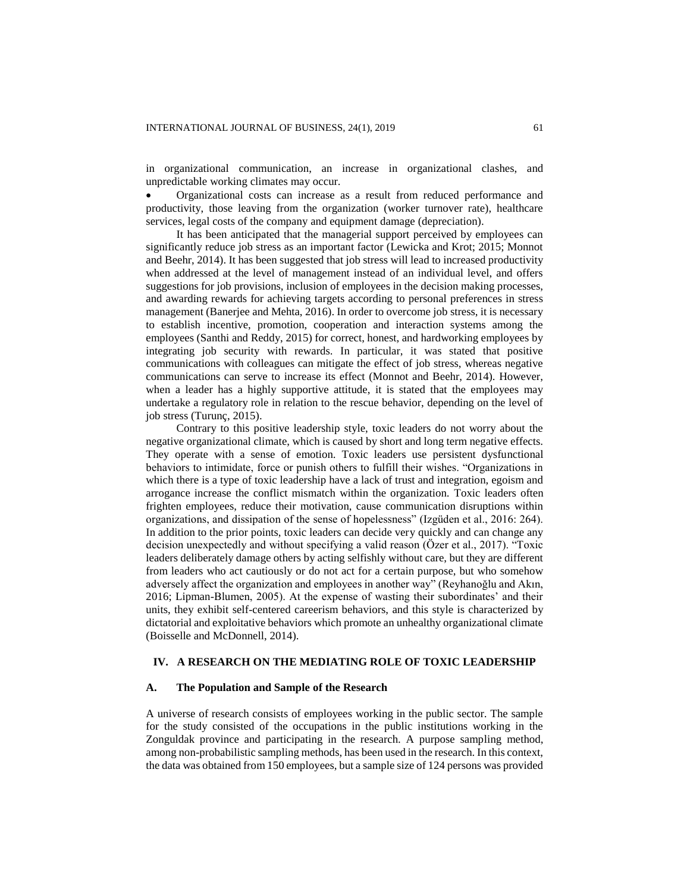in organizational communication, an increase in organizational clashes, and unpredictable working climates may occur.

 Organizational costs can increase as a result from reduced performance and productivity, those leaving from the organization (worker turnover rate), healthcare services, legal costs of the company and equipment damage (depreciation).

It has been anticipated that the managerial support perceived by employees can significantly reduce job stress as an important factor (Lewicka and Krot; 2015; Monnot and Beehr, 2014). It has been suggested that job stress will lead to increased productivity when addressed at the level of management instead of an individual level, and offers suggestions for job provisions, inclusion of employees in the decision making processes, and awarding rewards for achieving targets according to personal preferences in stress management (Banerjee and Mehta, 2016). In order to overcome job stress, it is necessary to establish incentive, promotion, cooperation and interaction systems among the employees (Santhi and Reddy, 2015) for correct, honest, and hardworking employees by integrating job security with rewards. In particular, it was stated that positive communications with colleagues can mitigate the effect of job stress, whereas negative communications can serve to increase its effect (Monnot and Beehr, 2014). However, when a leader has a highly supportive attitude, it is stated that the employees may undertake a regulatory role in relation to the rescue behavior, depending on the level of job stress (Turunç, 2015).

Contrary to this positive leadership style, toxic leaders do not worry about the negative organizational climate, which is caused by short and long term negative effects. They operate with a sense of emotion. Toxic leaders use persistent dysfunctional behaviors to intimidate, force or punish others to fulfill their wishes. "Organizations in which there is a type of toxic leadership have a lack of trust and integration, egoism and arrogance increase the conflict mismatch within the organization. Toxic leaders often frighten employees, reduce their motivation, cause communication disruptions within organizations, and dissipation of the sense of hopelessness" (Izgüden et al., 2016: 264). In addition to the prior points, toxic leaders can decide very quickly and can change any decision unexpectedly and without specifying a valid reason (Özer et al., 2017). "Toxic leaders deliberately damage others by acting selfishly without care, but they are different from leaders who act cautiously or do not act for a certain purpose, but who somehow adversely affect the organization and employees in another way" (Reyhanoğlu and Akın, 2016; Lipman-Blumen, 2005). At the expense of wasting their subordinates' and their units, they exhibit self-centered careerism behaviors, and this style is characterized by dictatorial and exploitative behaviors which promote an unhealthy organizational climate (Boisselle and McDonnell, 2014).

## **IV. A RESEARCH ON THE MEDIATING ROLE OF TOXIC LEADERSHIP**

#### **A. The Population and Sample of the Research**

A universe of research consists of employees working in the public sector. The sample for the study consisted of the occupations in the public institutions working in the Zonguldak province and participating in the research. A purpose sampling method, among non-probabilistic sampling methods, has been used in the research. In this context, the data was obtained from 150 employees, but a sample size of 124 persons was provided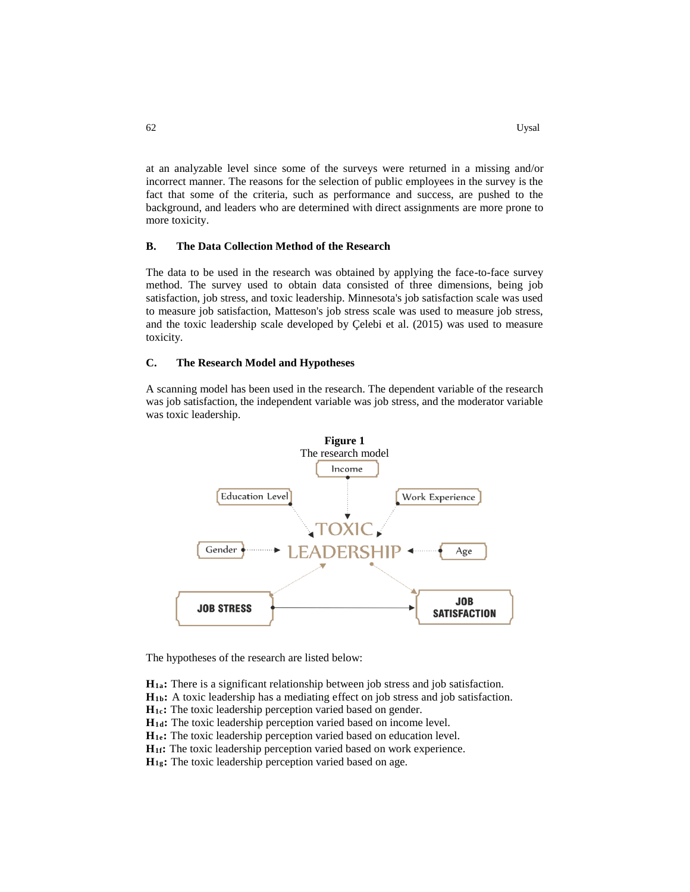at an analyzable level since some of the surveys were returned in a missing and/or incorrect manner. The reasons for the selection of public employees in the survey is the fact that some of the criteria, such as performance and success, are pushed to the background, and leaders who are determined with direct assignments are more prone to more toxicity.

#### **B. The Data Collection Method of the Research**

The data to be used in the research was obtained by applying the face-to-face survey method. The survey used to obtain data consisted of three dimensions, being job satisfaction, job stress, and toxic leadership. Minnesota's job satisfaction scale was used to measure job satisfaction, Matteson's job stress scale was used to measure job stress, and the toxic leadership scale developed by Çelebi et al. (2015) was used to measure toxicity.

#### **C. The Research Model and Hypotheses**

A scanning model has been used in the research. The dependent variable of the research was job satisfaction, the independent variable was job stress, and the moderator variable was toxic leadership.



The hypotheses of the research are listed below:

**H1a:** There is a significant relationship between job stress and job satisfaction.

**H1b:** A toxic leadership has a mediating effect on job stress and job satisfaction.

**H1c:** The toxic leadership perception varied based on gender.

**H1d:** The toxic leadership perception varied based on income level.

**H1e:** The toxic leadership perception varied based on education level.

**H1f:** The toxic leadership perception varied based on work experience.

**H1g:** The toxic leadership perception varied based on age.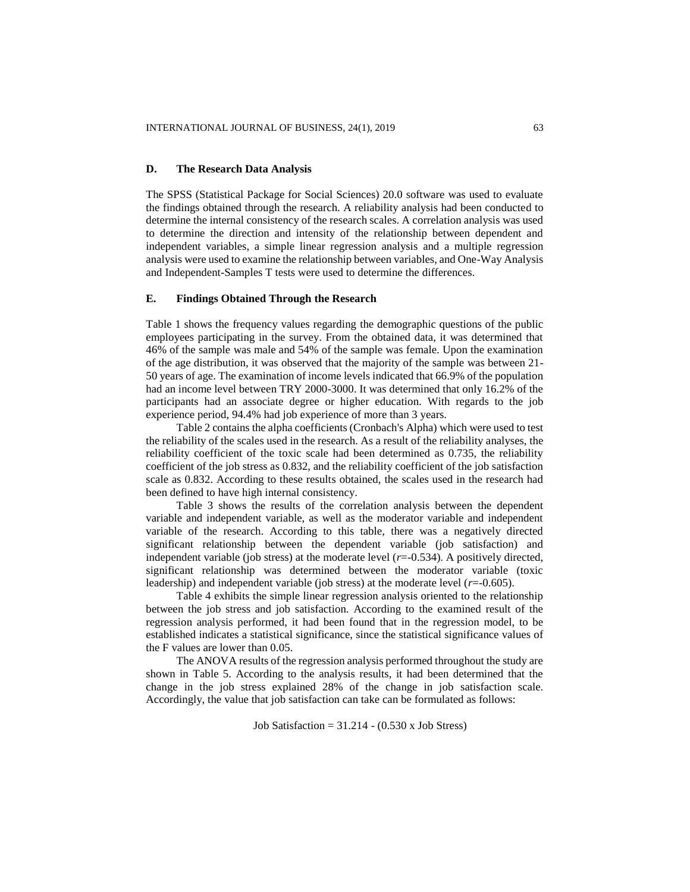## **D. The Research Data Analysis**

The SPSS (Statistical Package for Social Sciences) 20.0 software was used to evaluate the findings obtained through the research. A reliability analysis had been conducted to determine the internal consistency of the research scales. A correlation analysis was used to determine the direction and intensity of the relationship between dependent and independent variables, a simple linear regression analysis and a multiple regression analysis were used to examine the relationship between variables, and One-Way Analysis and Independent-Samples T tests were used to determine the differences.

## **E. Findings Obtained Through the Research**

Table 1 shows the frequency values regarding the demographic questions of the public employees participating in the survey. From the obtained data, it was determined that 46% of the sample was male and 54% of the sample was female. Upon the examination of the age distribution, it was observed that the majority of the sample was between 21- 50 years of age. The examination of income levels indicated that 66.9% of the population had an income level between TRY 2000-3000. It was determined that only 16.2% of the participants had an associate degree or higher education. With regards to the job experience period, 94.4% had job experience of more than 3 years.

Table 2 contains the alpha coefficients (Cronbach's Alpha) which were used to test the reliability of the scales used in the research. As a result of the reliability analyses, the reliability coefficient of the toxic scale had been determined as 0.735, the reliability coefficient of the job stress as 0.832, and the reliability coefficient of the job satisfaction scale as 0.832. According to these results obtained, the scales used in the research had been defined to have high internal consistency.

Table 3 shows the results of the correlation analysis between the dependent variable and independent variable, as well as the moderator variable and independent variable of the research. According to this table, there was a negatively directed significant relationship between the dependent variable (job satisfaction) and independent variable (job stress) at the moderate level (*r*=-0.534). A positively directed, significant relationship was determined between the moderator variable (toxic leadership) and independent variable (job stress) at the moderate level (*r*=-0.605).

Table 4 exhibits the simple linear regression analysis oriented to the relationship between the job stress and job satisfaction. According to the examined result of the regression analysis performed, it had been found that in the regression model, to be established indicates a statistical significance, since the statistical significance values of the F values are lower than 0.05.

The ANOVA results of the regression analysis performed throughout the study are shown in Table 5. According to the analysis results, it had been determined that the change in the job stress explained 28% of the change in job satisfaction scale. Accordingly, the value that job satisfaction can take can be formulated as follows:

Job Satisfaction =  $31.214 - (0.530 \text{ x} \text{ Job Stress})$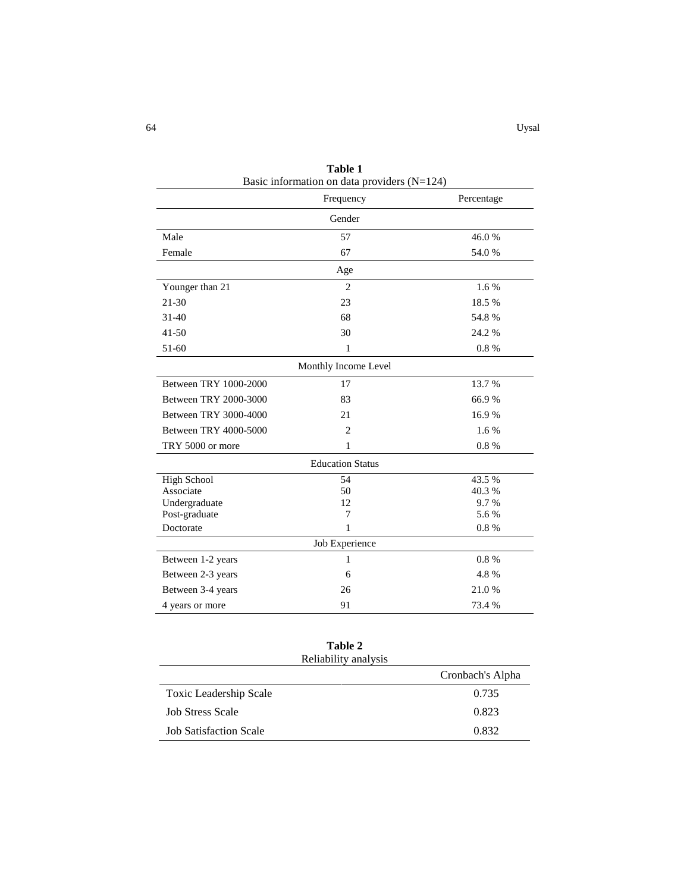|                       | Frequency               | Percentage |  |  |  |  |  |  |  |  |
|-----------------------|-------------------------|------------|--|--|--|--|--|--|--|--|
| Gender                |                         |            |  |  |  |  |  |  |  |  |
| Male                  | 57                      | 46.0%      |  |  |  |  |  |  |  |  |
| Female                | 67                      | 54.0%      |  |  |  |  |  |  |  |  |
| Age                   |                         |            |  |  |  |  |  |  |  |  |
| Younger than 21       | $\overline{2}$          | 1.6%       |  |  |  |  |  |  |  |  |
| 21-30                 | 23                      | 18.5%      |  |  |  |  |  |  |  |  |
| $31 - 40$             | 68                      | 54.8%      |  |  |  |  |  |  |  |  |
| $41 - 50$             | 30                      | 24.2 %     |  |  |  |  |  |  |  |  |
| 51-60                 | 1                       | 0.8%       |  |  |  |  |  |  |  |  |
|                       | Monthly Income Level    |            |  |  |  |  |  |  |  |  |
| Between TRY 1000-2000 | 17                      | 13.7 %     |  |  |  |  |  |  |  |  |
| Between TRY 2000-3000 | 83                      | 66.9%      |  |  |  |  |  |  |  |  |
| Between TRY 3000-4000 | 21                      | 16.9%      |  |  |  |  |  |  |  |  |
| Between TRY 4000-5000 | $\overline{2}$          | 1.6%       |  |  |  |  |  |  |  |  |
| TRY 5000 or more      | 1                       | 0.8%       |  |  |  |  |  |  |  |  |
|                       | <b>Education Status</b> |            |  |  |  |  |  |  |  |  |
| <b>High School</b>    | 54                      | 43.5 %     |  |  |  |  |  |  |  |  |
| Associate             | 50                      | 40.3%      |  |  |  |  |  |  |  |  |
| Undergraduate         | 12                      | 9.7%       |  |  |  |  |  |  |  |  |
| Post-graduate         | 7                       | 5.6 %      |  |  |  |  |  |  |  |  |
| Doctorate             | 1                       | 0.8%       |  |  |  |  |  |  |  |  |
|                       | Job Experience          |            |  |  |  |  |  |  |  |  |
| Between 1-2 years     | 1                       | 0.8%       |  |  |  |  |  |  |  |  |
| Between 2-3 years     | 6                       | 4.8%       |  |  |  |  |  |  |  |  |
| Between 3-4 years     | 26                      | 21.0%      |  |  |  |  |  |  |  |  |
| 4 years or more       | 91                      | 73.4 %     |  |  |  |  |  |  |  |  |

**Table 1** Basic information on data providers  $(N=124)$ 

| Table 2<br>Reliability analysis |                  |
|---------------------------------|------------------|
|                                 | Cronbach's Alpha |
| Toxic Leadership Scale          | 0.735            |
| <b>Job Stress Scale</b>         | 0.823            |
| <b>Job Satisfaction Scale</b>   | 0.832            |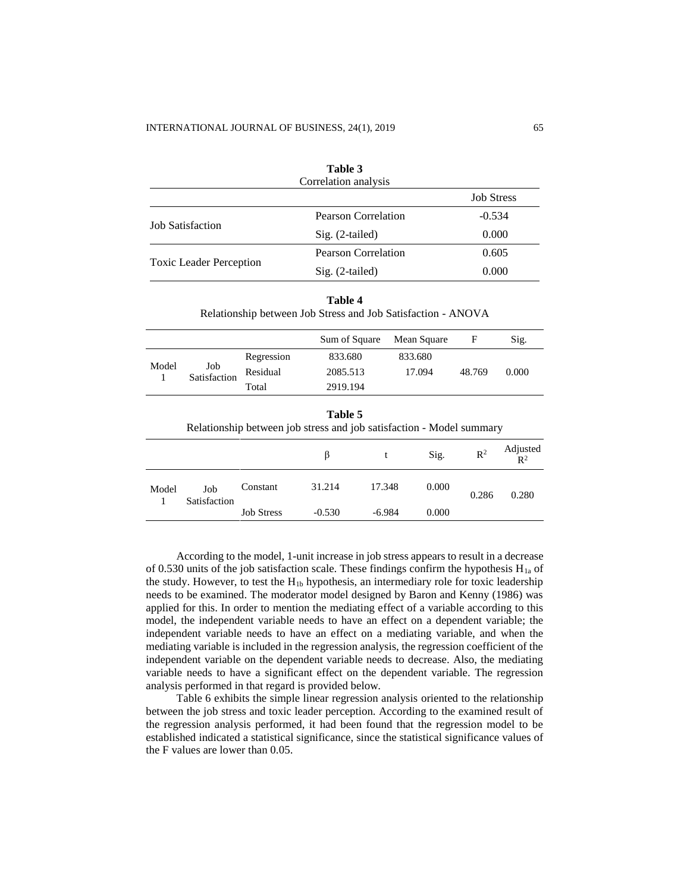| Table 3<br>Correlation analysis |                     |                   |  |  |  |  |  |
|---------------------------------|---------------------|-------------------|--|--|--|--|--|
|                                 |                     | <b>Job Stress</b> |  |  |  |  |  |
| <b>Job Satisfaction</b>         | Pearson Correlation | $-0.534$          |  |  |  |  |  |
|                                 | Sig. (2-tailed)     | 0.000             |  |  |  |  |  |
|                                 | Pearson Correlation | 0.605             |  |  |  |  |  |
| <b>Toxic Leader Perception</b>  | Sig. (2-tailed)     | 0.000             |  |  |  |  |  |

|  | Γ<br>۱ |  |
|--|--------|--|

Relationship between Job Stress and Job Satisfaction - ANOVA

|                                                                                 |                     |                   | Sum of Square |          | Mean Square | F              | Sig.              |  |  |  |
|---------------------------------------------------------------------------------|---------------------|-------------------|---------------|----------|-------------|----------------|-------------------|--|--|--|
|                                                                                 |                     | Regression        | 833.680       |          | 833.680     |                |                   |  |  |  |
| Model                                                                           | Job<br>Satisfaction | Residual          | 2085.513      |          | 17.094      | 48.769         | 0.000             |  |  |  |
|                                                                                 |                     | Total             | 2919.194      |          |             |                |                   |  |  |  |
| Table 5<br>Relationship between job stress and job satisfaction - Model summary |                     |                   |               |          |             |                |                   |  |  |  |
|                                                                                 |                     |                   | β             | t        | Sig.        | $\mathbb{R}^2$ | Adjusted<br>$R^2$ |  |  |  |
| Model                                                                           | Job<br>Satisfaction | Constant          | 31.214        | 17.348   | 0.000       | 0.286          | 0.280             |  |  |  |
|                                                                                 |                     | <b>Job Stress</b> | $-0.530$      | $-6.984$ | 0.000       |                |                   |  |  |  |

According to the model, 1-unit increase in job stress appears to result in a decrease of 0.530 units of the job satisfaction scale. These findings confirm the hypothesis  $H_{1a}$  of the study. However, to test the  $H_{1b}$  hypothesis, an intermediary role for toxic leadership needs to be examined. The moderator model designed by Baron and Kenny (1986) was applied for this. In order to mention the mediating effect of a variable according to this model, the independent variable needs to have an effect on a dependent variable; the independent variable needs to have an effect on a mediating variable, and when the mediating variable is included in the regression analysis, the regression coefficient of the independent variable on the dependent variable needs to decrease. Also, the mediating variable needs to have a significant effect on the dependent variable. The regression analysis performed in that regard is provided below.

Table 6 exhibits the simple linear regression analysis oriented to the relationship between the job stress and toxic leader perception. According to the examined result of the regression analysis performed, it had been found that the regression model to be established indicated a statistical significance, since the statistical significance values of the F values are lower than 0.05.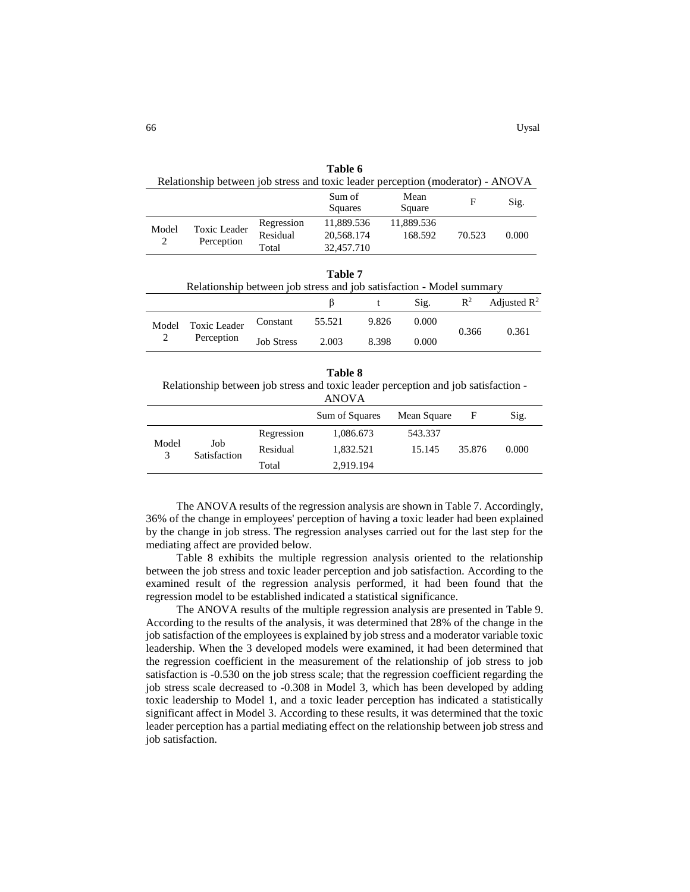| Table 6 |              |            |                                                                                 |            |        |       |  |  |
|---------|--------------|------------|---------------------------------------------------------------------------------|------------|--------|-------|--|--|
|         |              |            | Relationship between job stress and toxic leader perception (moderator) - ANOVA |            |        |       |  |  |
|         |              |            | Sum of                                                                          | Mean       | F      |       |  |  |
|         |              | Squares    | Square                                                                          |            | Sig.   |       |  |  |
| Model   | Toxic Leader | Regression | 11,889.536                                                                      | 11,889.536 |        |       |  |  |
| 2       | Perception   | Residual   | 20,568.174                                                                      | 168.592    | 70.523 | 0.000 |  |  |
|         |              | Total      | 32,457.710                                                                      |            |        |       |  |  |
|         |              |            |                                                                                 |            |        |       |  |  |

|                                            | Relationship between job stress and job satisfaction - Model summary |        | Table 7 |              |                 |       |                      |
|--------------------------------------------|----------------------------------------------------------------------|--------|---------|--------------|-----------------|-------|----------------------|
|                                            |                                                                      |        |         | $\mathbf{t}$ | $\mathrm{Sig.}$ |       | $R^2$ Adjusted $R^2$ |
| <b>Toxic Leader</b><br>Model<br>Perception | Constant                                                             | 55.521 | 9.826   | 0.000        | 0.366           | 0.361 |                      |
|                                            | <b>Job Stress</b>                                                    | 2.003  | 8.398   | 0.000        |                 |       |                      |

**Table 8** Relationship between job stress and toxic leader perception and job satisfaction -

|                                               |            | <b>ANOVA</b>   |             |        |       |
|-----------------------------------------------|------------|----------------|-------------|--------|-------|
|                                               |            | Sum of Squares | Mean Square | F      | Sig.  |
| Model<br>Job<br>Satisfaction<br>$\mathcal{E}$ | Regression | 1,086.673      | 543.337     |        |       |
|                                               | Residual   | 1,832.521      | 15.145      | 35.876 | 0.000 |
|                                               | Total      | 2,919.194      |             |        |       |

The ANOVA results of the regression analysis are shown in Table 7. Accordingly, 36% of the change in employees' perception of having a toxic leader had been explained by the change in job stress. The regression analyses carried out for the last step for the mediating affect are provided below.

Table 8 exhibits the multiple regression analysis oriented to the relationship between the job stress and toxic leader perception and job satisfaction. According to the examined result of the regression analysis performed, it had been found that the regression model to be established indicated a statistical significance.

The ANOVA results of the multiple regression analysis are presented in Table 9. According to the results of the analysis, it was determined that 28% of the change in the job satisfaction of the employees is explained by job stress and a moderator variable toxic leadership. When the 3 developed models were examined, it had been determined that the regression coefficient in the measurement of the relationship of job stress to job satisfaction is -0.530 on the job stress scale; that the regression coefficient regarding the job stress scale decreased to -0.308 in Model 3, which has been developed by adding toxic leadership to Model 1, and a toxic leader perception has indicated a statistically significant affect in Model 3. According to these results, it was determined that the toxic leader perception has a partial mediating effect on the relationship between job stress and job satisfaction.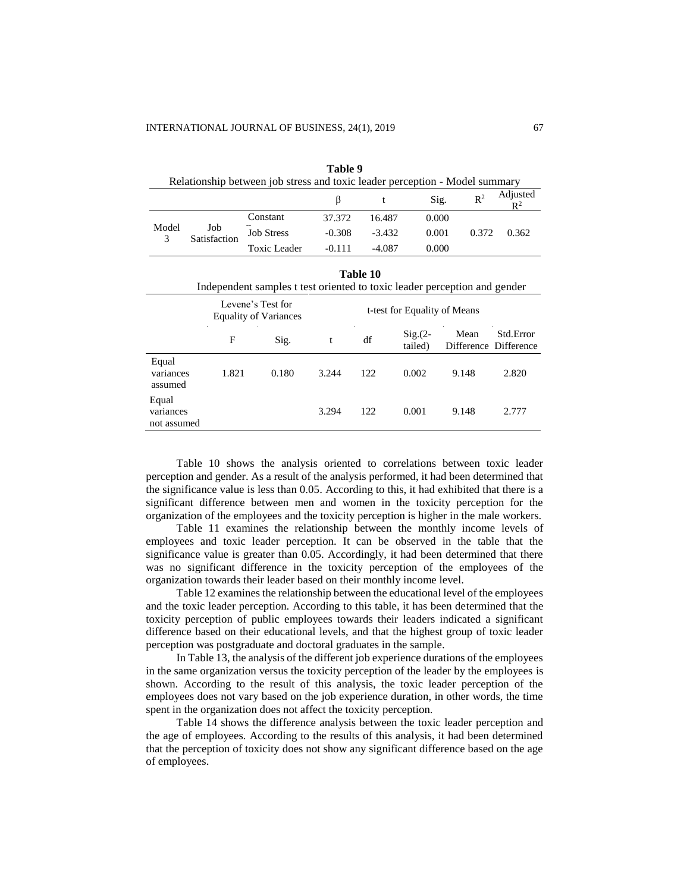assumed

**Equal** variances not assumed

| Relationship between job stress and toxic leader perception - Model summary           |                     |                   |          |          |                              |                |                                    |  |  |  |
|---------------------------------------------------------------------------------------|---------------------|-------------------|----------|----------|------------------------------|----------------|------------------------------------|--|--|--|
|                                                                                       |                     |                   | β        | t        | Sig.                         | $\mathbb{R}^2$ | Adjusted<br>$\mathbb{R}^2$         |  |  |  |
|                                                                                       |                     | Constant          | 37.372   | 16.487   | 0.000                        |                |                                    |  |  |  |
| Model<br>3                                                                            | Job<br>Satisfaction | <b>Job Stress</b> | $-0.308$ | $-3.432$ | 0.001                        | 0.372          | 0.362                              |  |  |  |
|                                                                                       |                     | Toxic Leader      | $-0.111$ | $-4.087$ | 0.000                        |                |                                    |  |  |  |
| Table 10<br>Independent samples t test oriented to toxic leader perception and gender |                     |                   |          |          |                              |                |                                    |  |  |  |
| Levene's Test for<br><b>Equality of Variances</b>                                     |                     |                   |          |          | t-test for Equality of Means |                |                                    |  |  |  |
|                                                                                       | F                   | Sig.              | t        | df       | $Sig(2 -$<br>tailed)         | Mean           | Std.Error<br>Difference Difference |  |  |  |
| Equal<br>variances                                                                    | 1.821               | 0.180             | 3.244    | 122      | 0.002                        | 9.148          | 2.820                              |  |  |  |

**Table 9**

Table 10 shows the analysis oriented to correlations between toxic leader perception and gender. As a result of the analysis performed, it had been determined that the significance value is less than 0.05. According to this, it had exhibited that there is a significant difference between men and women in the toxicity perception for the organization of the employees and the toxicity perception is higher in the male workers.

3.294 122 0.001 9.148 2.777

Table 11 examines the relationship between the monthly income levels of employees and toxic leader perception. It can be observed in the table that the significance value is greater than 0.05. Accordingly, it had been determined that there was no significant difference in the toxicity perception of the employees of the organization towards their leader based on their monthly income level.

Table 12 examines the relationship between the educational level of the employees and the toxic leader perception. According to this table, it has been determined that the toxicity perception of public employees towards their leaders indicated a significant difference based on their educational levels, and that the highest group of toxic leader perception was postgraduate and doctoral graduates in the sample.

In Table 13, the analysis of the different job experience durations of the employees in the same organization versus the toxicity perception of the leader by the employees is shown. According to the result of this analysis, the toxic leader perception of the employees does not vary based on the job experience duration, in other words, the time spent in the organization does not affect the toxicity perception.

Table 14 shows the difference analysis between the toxic leader perception and the age of employees. According to the results of this analysis, it had been determined that the perception of toxicity does not show any significant difference based on the age of employees.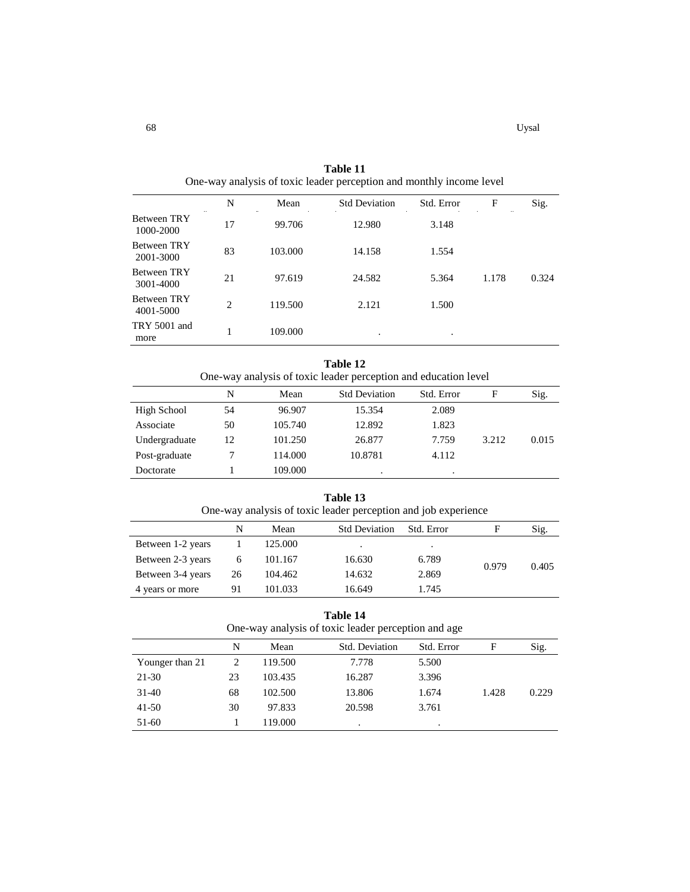|                                 | N  | Mean    | <b>Std Deviation</b> | Std. Error | F     | Sig.  |
|---------------------------------|----|---------|----------------------|------------|-------|-------|
| <b>Between TRY</b><br>1000-2000 | 17 | 99.706  | 12.980               | 3.148      |       |       |
| <b>Between TRY</b><br>2001-3000 | 83 | 103.000 | 14.158               | 1.554      |       |       |
| <b>Between TRY</b><br>3001-4000 | 21 | 97.619  | 24.582               | 5.364      | 1.178 | 0.324 |
| <b>Between TRY</b><br>4001-5000 | 2  | 119.500 | 2.121                | 1.500      |       |       |
| TRY 5001 and<br>more            |    | 109.000 | ٠                    | $\bullet$  |       |       |

**Table 11** One-way analysis of toxic leader perception and monthly income level

| Table 12<br>One-way analysis of toxic leader perception and education level |    |         |                      |            |       |       |  |  |  |
|-----------------------------------------------------------------------------|----|---------|----------------------|------------|-------|-------|--|--|--|
|                                                                             | N  | Mean    | <b>Std Deviation</b> | Std. Error | F     | Sig.  |  |  |  |
| High School                                                                 | 54 | 96.907  | 15.354               | 2.089      |       |       |  |  |  |
| Associate                                                                   | 50 | 105.740 | 12.892               | 1.823      |       |       |  |  |  |
| Undergraduate                                                               | 12 | 101.250 | 26.877               | 7.759      | 3.212 | 0.015 |  |  |  |
| Post-graduate                                                               |    | 114.000 | 10.8781              | 4.112      |       |       |  |  |  |
| Doctorate                                                                   |    | 109.000 |                      | ٠          |       |       |  |  |  |

| Table 13<br>One-way analysis of toxic leader perception and job experience |    |         |                      |            |       |       |  |
|----------------------------------------------------------------------------|----|---------|----------------------|------------|-------|-------|--|
|                                                                            | N  | Mean    | <b>Std Deviation</b> | Std. Error | F     | Sig.  |  |
| Between 1-2 years                                                          |    | 125.000 | $\cdot$              | $\bullet$  |       |       |  |
| Between 2-3 years                                                          | 6  | 101.167 | 16.630               | 6.789      |       | 0.405 |  |
| Between 3-4 years                                                          | 26 | 104.462 | 14.632               | 2.869      | 0.979 |       |  |
| 4 years or more                                                            | 91 | 101.033 | 16.649               | 1.745      |       |       |  |

**Table 14** One-way analysis of toxic leader perception and age

|                 | N  | Mean    | Std. Deviation | Std. Error | F     | Sig.  |
|-----------------|----|---------|----------------|------------|-------|-------|
| Younger than 21 | 2  | 119.500 | 7.778          | 5.500      |       |       |
| 21-30           | 23 | 103.435 | 16.287         | 3.396      |       |       |
| 31-40           | 68 | 102.500 | 13.806         | 1.674      | 1.428 | 0.229 |
| $41 - 50$       | 30 | 97.833  | 20.598         | 3.761      |       |       |
| 51-60           |    | 119.000 |                | ٠          |       |       |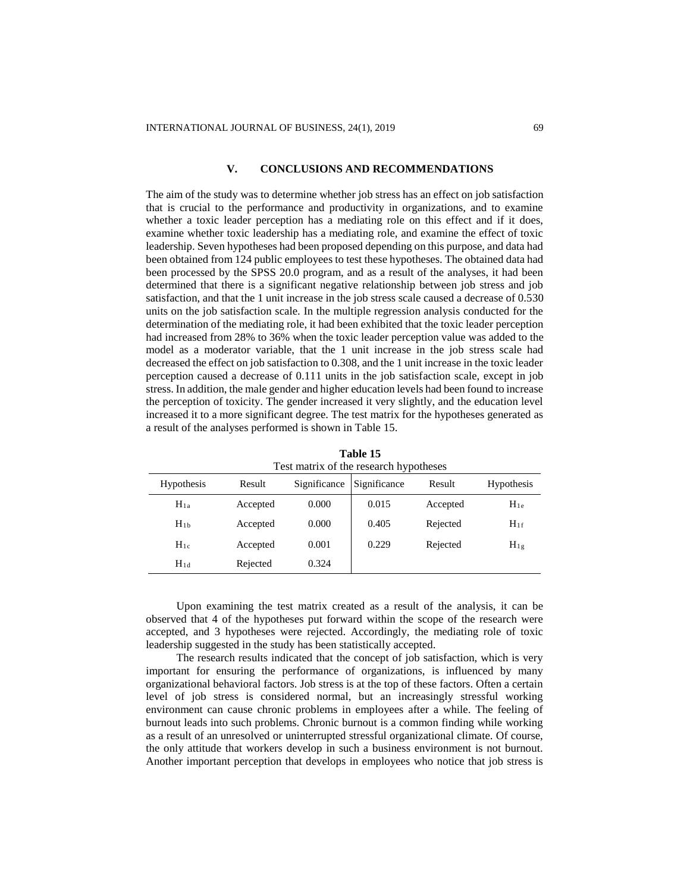### **V. CONCLUSIONS AND RECOMMENDATIONS**

The aim of the study was to determine whether job stress has an effect on job satisfaction that is crucial to the performance and productivity in organizations, and to examine whether a toxic leader perception has a mediating role on this effect and if it does, examine whether toxic leadership has a mediating role, and examine the effect of toxic leadership. Seven hypotheses had been proposed depending on this purpose, and data had been obtained from 124 public employees to test these hypotheses. The obtained data had been processed by the SPSS 20.0 program, and as a result of the analyses, it had been determined that there is a significant negative relationship between job stress and job satisfaction, and that the 1 unit increase in the job stress scale caused a decrease of 0.530 units on the job satisfaction scale. In the multiple regression analysis conducted for the determination of the mediating role, it had been exhibited that the toxic leader perception had increased from 28% to 36% when the toxic leader perception value was added to the model as a moderator variable, that the 1 unit increase in the job stress scale had decreased the effect on job satisfaction to 0.308, and the 1 unit increase in the toxic leader perception caused a decrease of 0.111 units in the job satisfaction scale, except in job stress. In addition, the male gender and higher education levels had been found to increase the perception of toxicity. The gender increased it very slightly, and the education level increased it to a more significant degree. The test matrix for the hypotheses generated as a result of the analyses performed is shown in Table 15.

| Test matrix of the research hypotheses |          |              |              |          |            |  |  |  |  |
|----------------------------------------|----------|--------------|--------------|----------|------------|--|--|--|--|
| <b>Hypothesis</b>                      | Result   | Significance | Significance | Result   | Hypothesis |  |  |  |  |
| $H_{1a}$                               | Accepted | 0.000        | 0.015        | Accepted | $H_{1e}$   |  |  |  |  |
| $H_{1b}$                               | Accepted | 0.000        | 0.405        | Rejected | $H_{1f}$   |  |  |  |  |
| $H_{1c}$                               | Accepted | 0.001        | 0.229        | Rejected | $H_{1g}$   |  |  |  |  |
| $H_{1d}$                               | Rejected | 0.324        |              |          |            |  |  |  |  |

**Table 15**

Upon examining the test matrix created as a result of the analysis, it can be observed that 4 of the hypotheses put forward within the scope of the research were accepted, and 3 hypotheses were rejected. Accordingly, the mediating role of toxic leadership suggested in the study has been statistically accepted.

The research results indicated that the concept of job satisfaction, which is very important for ensuring the performance of organizations, is influenced by many organizational behavioral factors. Job stress is at the top of these factors. Often a certain level of job stress is considered normal, but an increasingly stressful working environment can cause chronic problems in employees after a while. The feeling of burnout leads into such problems. Chronic burnout is a common finding while working as a result of an unresolved or uninterrupted stressful organizational climate. Of course, the only attitude that workers develop in such a business environment is not burnout. Another important perception that develops in employees who notice that job stress is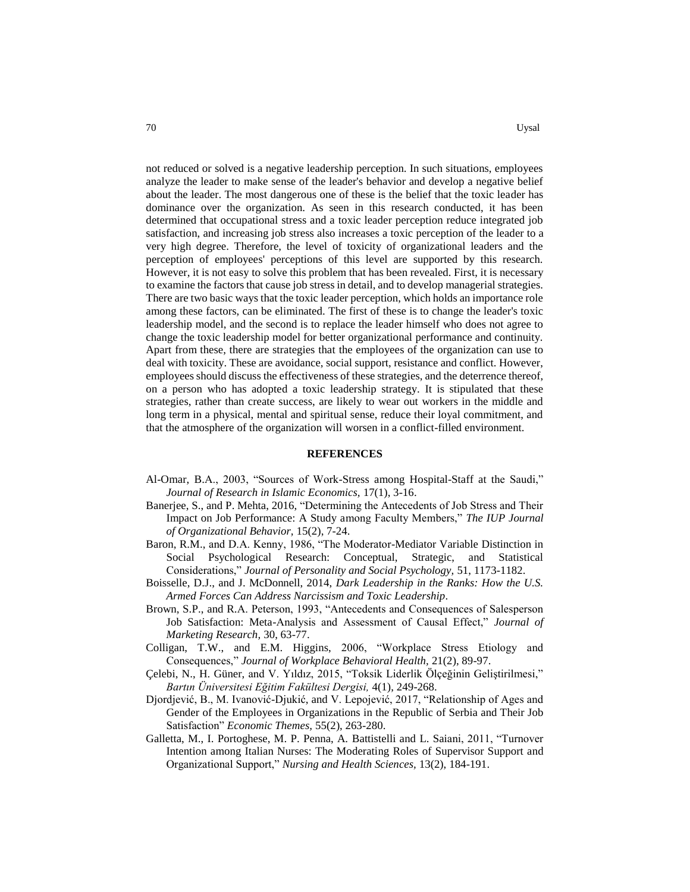not reduced or solved is a negative leadership perception. In such situations, employees analyze the leader to make sense of the leader's behavior and develop a negative belief about the leader. The most dangerous one of these is the belief that the toxic leader has dominance over the organization. As seen in this research conducted, it has been determined that occupational stress and a toxic leader perception reduce integrated job satisfaction, and increasing job stress also increases a toxic perception of the leader to a very high degree. Therefore, the level of toxicity of organizational leaders and the perception of employees' perceptions of this level are supported by this research. However, it is not easy to solve this problem that has been revealed. First, it is necessary to examine the factors that cause job stress in detail, and to develop managerial strategies. There are two basic ways that the toxic leader perception, which holds an importance role among these factors, can be eliminated. The first of these is to change the leader's toxic leadership model, and the second is to replace the leader himself who does not agree to change the toxic leadership model for better organizational performance and continuity. Apart from these, there are strategies that the employees of the organization can use to deal with toxicity. These are avoidance, social support, resistance and conflict. However, employees should discuss the effectiveness of these strategies, and the deterrence thereof, on a person who has adopted a toxic leadership strategy. It is stipulated that these strategies, rather than create success, are likely to wear out workers in the middle and long term in a physical, mental and spiritual sense, reduce their loyal commitment, and that the atmosphere of the organization will worsen in a conflict-filled environment.

#### **REFERENCES**

- Al-Omar, B.A., 2003, "Sources of Work-Stress among Hospital-Staff at the Saudi," *Journal of Research in Islamic Economics,* 17(1), 3-16.
- Banerjee, S., and P. Mehta, 2016, "Determining the Antecedents of Job Stress and Their Impact on Job Performance: A Study among Faculty Members," *The IUP Journal of Organizational Behavior,* 15(2), 7-24.
- Baron, R.M., and D.A. Kenny, 1986, "The Moderator-Mediator Variable Distinction in Social Psychological Research: Conceptual, Strategic, and Statistical Considerations," *Journal of Personality and Social Psychology,* 51, 1173-1182.
- Boisselle, D.J., and J. McDonnell, 2014, *Dark Leadership in the Ranks: How the U.S. Armed Forces Can Address Narcissism and Toxic Leadership*.
- Brown, S.P., and R.A. Peterson, 1993, "Antecedents and Consequences of Salesperson Job Satisfaction: Meta-Analysis and Assessment of Causal Effect," *Journal of Marketing Research,* 30, 63-77.
- Colligan, T.W., and E.M. Higgins, 2006, "Workplace Stress Etiology and Consequences," *Journal of Workplace Behavioral Health,* 21(2), 89-97.
- Çelebi, N., H. Güner, and V. Yıldız, 2015, "Toksik Liderlik Ölçeğinin Geliştirilmesi," *Bartın Üniversitesi Eğitim Fakültesi Dergisi,* 4(1), 249-268.
- Djordjević, B., M. Ivanović-Djukić, and V. Lepojević, 2017, "Relationship of Ages and Gender of the Employees in Organizations in the Republic of Serbia and Their Job Satisfaction" *Economic Themes,* 55(2), 263-280.
- Galletta, M., I. Portoghese, M. P. Penna, A. Battistelli and L. Saiani, 2011, "Turnover Intention among Italian Nurses: The Moderating Roles of Supervisor Support and Organizational Support," *Nursing and Health Sciences,* 13(2), 184-191.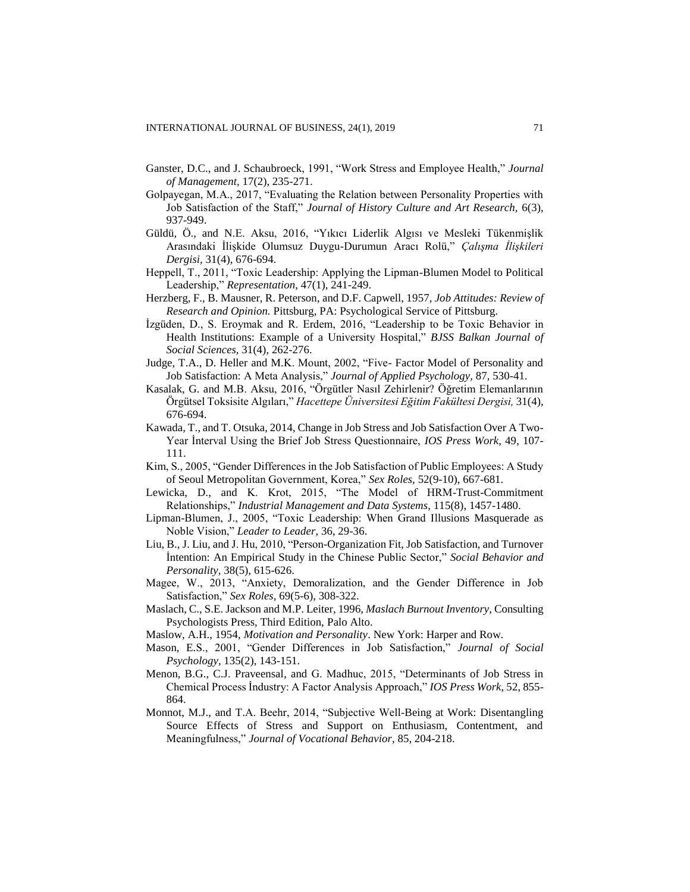- Ganster, D.C., and J. Schaubroeck, 1991, "Work Stress and Employee Health," *Journal of Management,* 17(2), 235-271.
- Golpayegan, M.A., 2017, "Evaluating the Relation between Personality Properties with Job Satisfaction of the Staff," *Journal of History Culture and Art Research,* 6(3), 937-949.
- Güldü, Ö., and N.E. Aksu, 2016, "Yıkıcı Liderlik Algısı ve Mesleki Tükenmişlik Arasındaki İlişkide Olumsuz Duygu-Durumun Aracı Rolü," *Çalışma İlişkileri Dergisi,* 31(4), 676-694.
- Heppell, T., 2011, "Toxic Leadership: Applying the Lipman-Blumen Model to Political Leadership," *Representation,* 47(1), 241-249.
- Herzberg, F., B. Mausner, R. Peterson, and D.F. Capwell, 1957, *Job Attitudes: Review of Research and Opinion.* Pittsburg, PA: Psychological Service of Pittsburg.
- İzgüden, D., S. Eroymak and R. Erdem, 2016, "Leadership to be Toxic Behavior in Health Institutions: Example of a University Hospital," *BJSS Balkan Journal of Social Sciences,* 31(4), 262-276.
- Judge, T.A., D. Heller and M.K. Mount, 2002, "Five- Factor Model of Personality and Job Satisfaction: A Meta Analysis," *Journal of Applied Psychology,* 87, 530-41.
- Kasalak, G. and M.B. Aksu, 2016, "Örgütler Nasıl Zehirlenir? Öğretim Elemanlarının Örgütsel Toksisite Algıları," *Hacettepe Üniversitesi Eğitim Fakültesi Dergisi,* 31(4), 676-694.
- Kawada, T., and T. Otsuka, 2014, Change in Job Stress and Job Satisfaction Over A Two-Year İnterval Using the Brief Job Stress Questionnaire, *IOS Press Work,* 49, 107- 111.
- Kim, S., 2005, "Gender Differences in the Job Satisfaction of Public Employees: A Study of Seoul Metropolitan Government, Korea," *Sex Roles,* 52(9-10), 667-681.
- Lewicka, D., and K. Krot, 2015, "The Model of HRM-Trust-Commitment Relationships," *Industrial Management and Data Systems*, 115(8), 1457-1480.
- Lipman-Blumen, J., 2005, "Toxic Leadership: When Grand Illusions Masquerade as Noble Vision," *Leader to Leader*, 36, 29-36.
- Liu, B., J. Liu, and J. Hu, 2010, "Person-Organization Fit, Job Satisfaction, and Turnover İntention: An Empirical Study in the Chinese Public Sector," *Social Behavior and Personality,* 38(5), 615-626.
- Magee, W., 2013, "Anxiety, Demoralization, and the Gender Difference in Job Satisfaction," *Sex Roles,* 69(5-6), 308-322.
- Maslach, C., S.E. Jackson and M.P. Leiter, 1996, *Maslach Burnout Inventory*, Consulting Psychologists Press, Third Edition, Palo Alto.
- Maslow, A.H., 1954, *Motivation and Personality*. New York: Harper and Row.
- Mason, E.S., 2001, "Gender Differences in Job Satisfaction," *Journal of Social Psychology*, 135(2), 143-151.
- Menon, B.G., C.J. Praveensal, and G. Madhuc, 2015, "Determinants of Job Stress in Chemical Process İndustry: A Factor Analysis Approach," *IOS Press Work*, 52, 855- 864.
- Monnot, M.J., and T.A. Beehr, 2014, "Subjective Well-Being at Work: Disentangling Source Effects of Stress and Support on Enthusiasm, Contentment, and Meaningfulness," *Journal of Vocational Behavior*, 85, 204-218.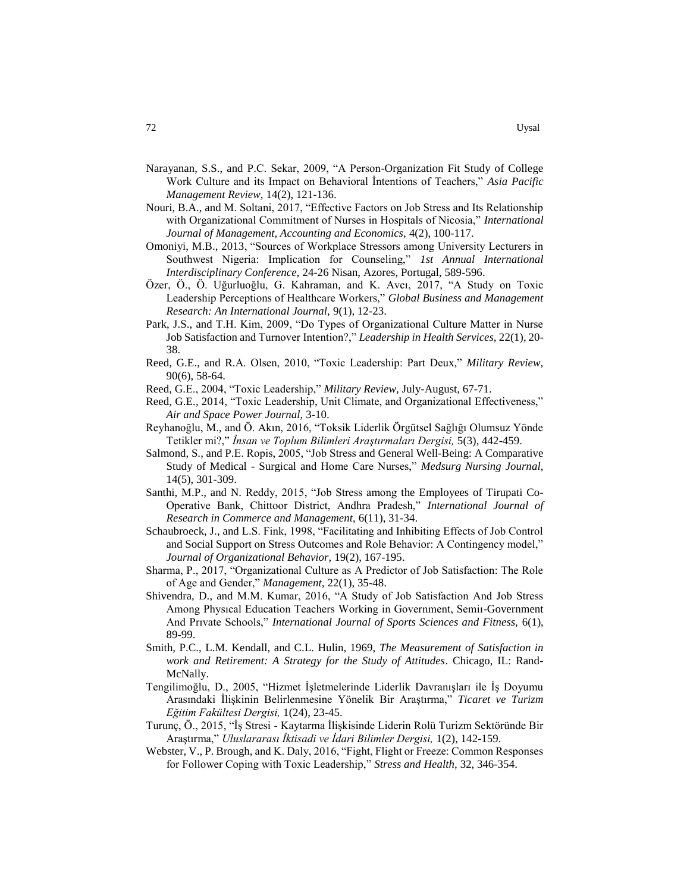- Narayanan, S.S., and P.C. Sekar, 2009, "A Person-Organization Fit Study of College Work Culture and its Impact on Behavioral İntentions of Teachers," *Asia Pacific Management Review,* 14(2), 121-136.
- Nouri, B.A., and M. Soltani, 2017, "Effective Factors on Job Stress and Its Relationship with Organizational Commitment of Nurses in Hospitals of Nicosia," *International Journal of Management, Accounting and Economics,* 4(2), 100-117.
- Omoniyi, M.B., 2013, "Sources of Workplace Stressors among University Lecturers in Southwest Nigeria: Implication for Counseling," *1st Annual International Interdisciplinary Conference,* 24-26 Nisan, Azores, Portugal, 589-596.
- Özer, Ö., Ö. Uğurluoğlu, G. Kahraman, and K. Avcı, 2017, "A Study on Toxic Leadership Perceptions of Healthcare Workers," *Global Business and Management Research: An International Journal,* 9(1), 12-23.
- Park, J.S., and T.H. Kim, 2009, "Do Types of Organizational Culture Matter in Nurse Job Satisfaction and Turnover Intention?," *Leadership in Health Services,* 22(1), 20- 38.
- Reed, G.E., and R.A. Olsen, 2010, "Toxic Leadership: Part Deux," *Military Review,*  90(6), 58-64.
- Reed, G.E., 2004, "Toxic Leadership," *Military Review,* July-August, 67-71.
- Reed, G.E., 2014, "Toxic Leadership, Unit Climate, and Organizational Effectiveness," *Air and Space Power Journal,* 3-10.
- Reyhanoğlu, M., and Ö. Akın, 2016, "Toksik Liderlik Örgütsel Sağlığı Olumsuz Yönde Tetikler mi?," *İnsan ve Toplum Bilimleri Araştırmaları Dergisi,* 5(3), 442-459.
- Salmond, S., and P.E. Ropis, 2005, "Job Stress and General Well-Being: A Comparative Study of Medical - Surgical and Home Care Nurses," *Medsurg Nursing Journal,* 14(5), 301-309.
- Santhi, M.P., and N. Reddy, 2015, "Job Stress among the Employees of Tirupati Co-Operative Bank, Chittoor District, Andhra Pradesh," *International Journal of Research in Commerce and Management,* 6(11), 31-34.
- Schaubroeck, J., and L.S. Fink, 1998, "Facilitating and Inhibiting Effects of Job Control and Social Support on Stress Outcomes and Role Behavior: A Contingency model," *Journal of Organizational Behavior,* 19(2), 167-195.
- Sharma, P., 2017, "Organizational Culture as A Predictor of Job Satisfaction: The Role of Age and Gender," *Management,* 22(1), 35-48.
- Shivendra, D., and M.M. Kumar, 2016, "A Study of Job Satisfaction And Job Stress Among Physıcal Education Teachers Working in Government, Semiı-Government And Prıvate Schools," *International Journal of Sports Sciences and Fitness,* 6(1), 89-99.
- Smith, P.C., L.M. Kendall, and C.L. Hulin, 1969, *The Measurement of Satisfaction in work and Retirement: A Strategy for the Study of Attitudes*. Chicago, IL: Rand-McNally.
- Tengilimoğlu, D., 2005, "Hizmet İşletmelerinde Liderlik Davranışları ile İş Doyumu Arasındaki İlişkinin Belirlenmesine Yönelik Bir Araştırma," *Ticaret ve Turizm Eğitim Fakültesi Dergisi,* 1(24), 23-45.
- Turunç, Ö., 2015, "İş Stresi Kaytarma İlişkisinde Liderin Rolü Turizm Sektöründe Bir Araştırma," *Uluslararası İktisadi ve İdari Bilimler Dergisi,* 1(2), 142-159.
- Webster, V., P. Brough, and K. Daly, 2016, "Fight, Flight or Freeze: Common Responses for Follower Coping with Toxic Leadership," *Stress and Health,* 32, 346-354.